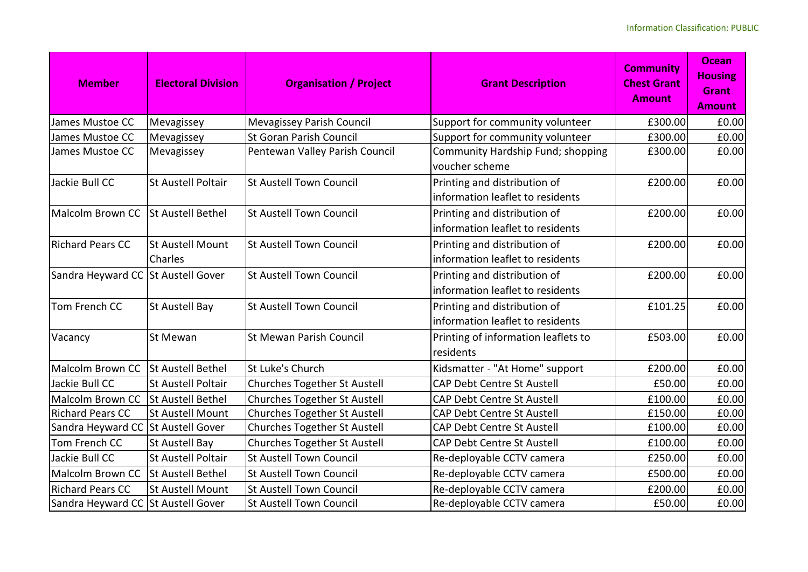| <b>Member</b>                      | <b>Electoral Division</b>   | <b>Organisation / Project</b>       | <b>Grant Description</b>                                         | <b>Community</b><br><b>Chest Grant</b><br><b>Amount</b> | <b>Ocean</b><br><b>Housing</b><br><b>Grant</b><br><b>Amount</b> |
|------------------------------------|-----------------------------|-------------------------------------|------------------------------------------------------------------|---------------------------------------------------------|-----------------------------------------------------------------|
| James Mustoe CC                    | Mevagissey                  | Mevagissey Parish Council           | Support for community volunteer                                  | £300.00                                                 | £0.00                                                           |
| James Mustoe CC                    | Mevagissey                  | <b>St Goran Parish Council</b>      | Support for community volunteer                                  | £300.00                                                 | £0.00                                                           |
| James Mustoe CC                    | Mevagissey                  | Pentewan Valley Parish Council      | Community Hardship Fund; shopping<br>voucher scheme              | £300.00                                                 | £0.00                                                           |
| Jackie Bull CC                     | St Austell Poltair          | <b>St Austell Town Council</b>      | Printing and distribution of<br>information leaflet to residents | £200.00                                                 | £0.00                                                           |
| Malcolm Brown CC                   | <b>St Austell Bethel</b>    | <b>St Austell Town Council</b>      | Printing and distribution of<br>information leaflet to residents | £200.00                                                 | £0.00                                                           |
| <b>Richard Pears CC</b>            | St Austell Mount<br>Charles | St Austell Town Council             | Printing and distribution of<br>information leaflet to residents | £200.00                                                 | £0.00                                                           |
| Sandra Heyward CC St Austell Gover |                             | <b>St Austell Town Council</b>      | Printing and distribution of<br>information leaflet to residents | £200.00                                                 | £0.00                                                           |
| Tom French CC                      | <b>St Austell Bay</b>       | St Austell Town Council             | Printing and distribution of<br>information leaflet to residents | £101.25                                                 | £0.00                                                           |
| Vacancy                            | St Mewan                    | <b>St Mewan Parish Council</b>      | Printing of information leaflets to<br>residents                 | £503.00                                                 | £0.00                                                           |
| Malcolm Brown CC                   | St Austell Bethel           | St Luke's Church                    | Kidsmatter - "At Home" support                                   | £200.00                                                 | £0.00                                                           |
| Jackie Bull CC                     | <b>St Austell Poltair</b>   | Churches Together St Austell        | <b>CAP Debt Centre St Austell</b>                                | £50.00                                                  | £0.00                                                           |
| Malcolm Brown CC                   | <b>St Austell Bethel</b>    | Churches Together St Austell        | CAP Debt Centre St Austell                                       | £100.00                                                 | £0.00                                                           |
| <b>Richard Pears CC</b>            | <b>St Austell Mount</b>     | <b>Churches Together St Austell</b> | <b>CAP Debt Centre St Austell</b>                                | £150.00                                                 | £0.00                                                           |
| Sandra Heyward CC                  | <b>St Austell Gover</b>     | Churches Together St Austell        | <b>CAP Debt Centre St Austell</b>                                | £100.00                                                 | £0.00                                                           |
| Tom French CC                      | St Austell Bay              | Churches Together St Austell        | <b>CAP Debt Centre St Austell</b>                                | £100.00                                                 | £0.00                                                           |
| Jackie Bull CC                     | <b>St Austell Poltair</b>   | St Austell Town Council             | Re-deployable CCTV camera                                        | £250.00                                                 | £0.00                                                           |
| Malcolm Brown CC                   | <b>St Austell Bethel</b>    | <b>St Austell Town Council</b>      | Re-deployable CCTV camera                                        | £500.00                                                 | £0.00                                                           |
| <b>Richard Pears CC</b>            | St Austell Mount            | <b>St Austell Town Council</b>      | Re-deployable CCTV camera                                        | £200.00                                                 | £0.00                                                           |
| Sandra Heyward CC St Austell Gover |                             | St Austell Town Council             | Re-deployable CCTV camera                                        | £50.00                                                  | £0.00                                                           |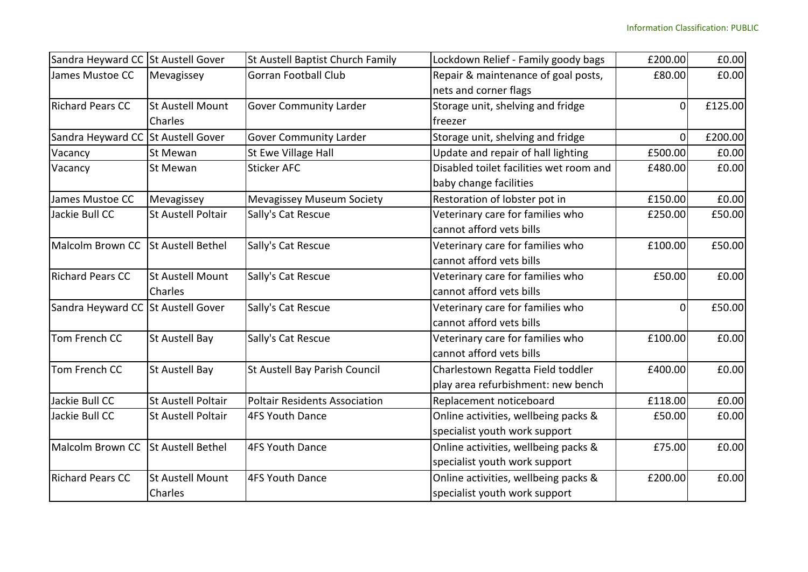| Sandra Heyward CC St Austell Gover |                           | St Austell Baptist Church Family     | Lockdown Relief - Family goody bags     | £200.00        | £0.00   |
|------------------------------------|---------------------------|--------------------------------------|-----------------------------------------|----------------|---------|
| James Mustoe CC                    | Mevagissey                | <b>Gorran Football Club</b>          | Repair & maintenance of goal posts,     | £80.00         | £0.00   |
|                                    |                           |                                      | nets and corner flags                   |                |         |
| <b>Richard Pears CC</b>            | <b>St Austell Mount</b>   | Gover Community Larder               | Storage unit, shelving and fridge       | $\Omega$       | £125.00 |
|                                    | <b>Charles</b>            |                                      | freezer                                 |                |         |
| Sandra Heyward CC                  | <b>St Austell Gover</b>   | <b>Gover Community Larder</b>        | Storage unit, shelving and fridge       | $\Omega$       | £200.00 |
| Vacancy                            | St Mewan                  | St Ewe Village Hall                  | Update and repair of hall lighting      | £500.00        | £0.00   |
| Vacancy                            | St Mewan                  | <b>Sticker AFC</b>                   | Disabled toilet facilities wet room and | £480.00        | £0.00   |
|                                    |                           |                                      | baby change facilities                  |                |         |
| James Mustoe CC                    | Mevagissey                | <b>Mevagissey Museum Society</b>     | Restoration of lobster pot in           | £150.00        | £0.00   |
| Jackie Bull CC                     | <b>St Austell Poltair</b> | Sally's Cat Rescue                   | Veterinary care for families who        | £250.00        | £50.00  |
|                                    |                           |                                      | cannot afford vets bills                |                |         |
| Malcolm Brown CC                   | <b>St Austell Bethel</b>  | Sally's Cat Rescue                   | Veterinary care for families who        | £100.00        | £50.00  |
|                                    |                           |                                      | cannot afford vets bills                |                |         |
| <b>Richard Pears CC</b>            | St Austell Mount          | Sally's Cat Rescue                   | Veterinary care for families who        | £50.00         | £0.00   |
|                                    | Charles                   |                                      | cannot afford vets bills                |                |         |
| Sandra Heyward CC St Austell Gover |                           | Sally's Cat Rescue                   | Veterinary care for families who        | $\overline{0}$ | £50.00  |
|                                    |                           |                                      | cannot afford vets bills                |                |         |
| Tom French CC                      | St Austell Bay            | Sally's Cat Rescue                   | Veterinary care for families who        | £100.00        | £0.00   |
|                                    |                           |                                      | cannot afford vets bills                |                |         |
| Tom French CC                      | <b>St Austell Bay</b>     | St Austell Bay Parish Council        | Charlestown Regatta Field toddler       | £400.00        | £0.00   |
|                                    |                           |                                      | play area refurbishment: new bench      |                |         |
| Jackie Bull CC                     | <b>St Austell Poltair</b> | <b>Poltair Residents Association</b> | Replacement noticeboard                 | £118.00        | £0.00   |
| Jackie Bull CC                     | <b>St Austell Poltair</b> | 4FS Youth Dance                      | Online activities, wellbeing packs &    | £50.00         | £0.00   |
|                                    |                           |                                      | specialist youth work support           |                |         |
| Malcolm Brown CC                   | St Austell Bethel         | 4FS Youth Dance                      | Online activities, wellbeing packs &    | £75.00         | £0.00   |
|                                    |                           |                                      | specialist youth work support           |                |         |
| <b>Richard Pears CC</b>            | <b>St Austell Mount</b>   | 4FS Youth Dance                      | Online activities, wellbeing packs &    | £200.00        | £0.00   |
|                                    | <b>Charles</b>            |                                      | specialist youth work support           |                |         |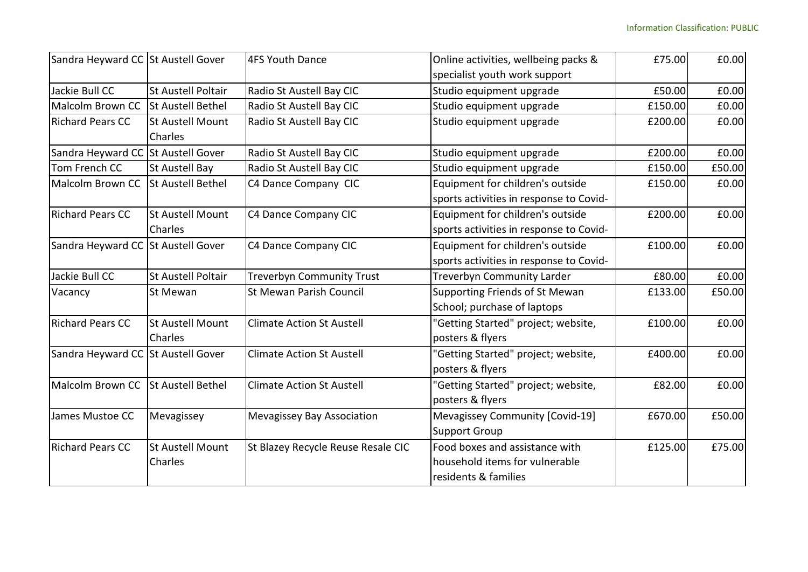| Sandra Heyward CC St Austell Gover |                                           | 4FS Youth Dance                    | Online activities, wellbeing packs &                                                     | £75.00  | £0.00  |
|------------------------------------|-------------------------------------------|------------------------------------|------------------------------------------------------------------------------------------|---------|--------|
|                                    |                                           |                                    | specialist youth work support                                                            |         |        |
| Jackie Bull CC                     | <b>St Austell Poltair</b>                 | Radio St Austell Bay CIC           | Studio equipment upgrade                                                                 | £50.00  | £0.00  |
| Malcolm Brown CC                   | <b>St Austell Bethel</b>                  | Radio St Austell Bay CIC           | Studio equipment upgrade                                                                 | £150.00 | £0.00  |
| <b>Richard Pears CC</b>            | <b>St Austell Mount</b><br>Charles        | Radio St Austell Bay CIC           | Studio equipment upgrade                                                                 | £200.00 | £0.00  |
| Sandra Heyward CC St Austell Gover |                                           | Radio St Austell Bay CIC           | Studio equipment upgrade                                                                 | £200.00 | £0.00  |
| Tom French CC                      | <b>St Austell Bay</b>                     | Radio St Austell Bay CIC           | Studio equipment upgrade                                                                 | £150.00 | £50.00 |
| Malcolm Brown CC                   | <b>St Austell Bethel</b>                  | C4 Dance Company CIC               | Equipment for children's outside                                                         | £150.00 | £0.00  |
|                                    |                                           |                                    | sports activities in response to Covid-                                                  |         |        |
| <b>Richard Pears CC</b>            | <b>St Austell Mount</b><br>Charles        | C4 Dance Company CIC               | Equipment for children's outside<br>sports activities in response to Covid-              | £200.00 | £0.00  |
| Sandra Heyward CC St Austell Gover |                                           | C4 Dance Company CIC               | Equipment for children's outside                                                         | £100.00 | £0.00  |
|                                    |                                           |                                    | sports activities in response to Covid-                                                  |         |        |
| Jackie Bull CC                     | <b>St Austell Poltair</b>                 | <b>Treverbyn Community Trust</b>   | <b>Treverbyn Community Larder</b>                                                        | £80.00  | £0.00  |
| Vacancy                            | St Mewan                                  | <b>St Mewan Parish Council</b>     | Supporting Friends of St Mewan<br>School; purchase of laptops                            | £133.00 | £50.00 |
| <b>Richard Pears CC</b>            | <b>St Austell Mount</b><br><b>Charles</b> | <b>Climate Action St Austell</b>   | 'Getting Started" project; website,<br>posters & flyers                                  | £100.00 | £0.00  |
| Sandra Heyward CC St Austell Gover |                                           | <b>Climate Action St Austell</b>   | "Getting Started" project; website,<br>posters & flyers                                  | £400.00 | £0.00  |
| Malcolm Brown CC                   | <b>St Austell Bethel</b>                  | <b>Climate Action St Austell</b>   | "Getting Started" project; website,<br>posters & flyers                                  | £82.00  | £0.00  |
| James Mustoe CC                    | Mevagissey                                | Mevagissey Bay Association         | Mevagissey Community [Covid-19]<br><b>Support Group</b>                                  | £670.00 | £50.00 |
| <b>Richard Pears CC</b>            | <b>St Austell Mount</b><br>Charles        | St Blazey Recycle Reuse Resale CIC | Food boxes and assistance with<br>household items for vulnerable<br>residents & families | £125.00 | £75.00 |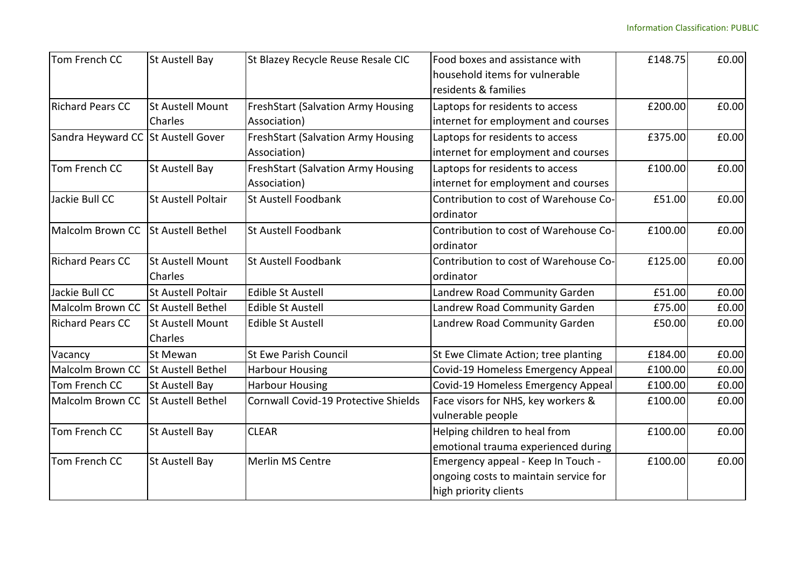| Tom French CC           | St Austell Bay                     | St Blazey Recycle Reuse Resale CIC        | Food boxes and assistance with                     | £148.75 | £0.00 |
|-------------------------|------------------------------------|-------------------------------------------|----------------------------------------------------|---------|-------|
|                         |                                    |                                           | household items for vulnerable                     |         |       |
|                         |                                    |                                           | residents & families                               |         |       |
| <b>Richard Pears CC</b> | <b>St Austell Mount</b>            | <b>FreshStart (Salvation Army Housing</b> | Laptops for residents to access                    | £200.00 | £0.00 |
|                         | Charles                            | Association)                              | internet for employment and courses                |         |       |
| Sandra Heyward CC       | <b>St Austell Gover</b>            | <b>FreshStart (Salvation Army Housing</b> | Laptops for residents to access                    | £375.00 | £0.00 |
|                         |                                    | Association)                              | internet for employment and courses                |         |       |
| Tom French CC           | St Austell Bay                     | <b>FreshStart (Salvation Army Housing</b> | Laptops for residents to access                    | £100.00 | £0.00 |
|                         |                                    | Association)                              | internet for employment and courses                |         |       |
| Jackie Bull CC          | <b>St Austell Poltair</b>          | St Austell Foodbank                       | Contribution to cost of Warehouse Co-              | £51.00  | £0.00 |
|                         |                                    |                                           | ordinator                                          |         |       |
| Malcolm Brown CC        | <b>St Austell Bethel</b>           | St Austell Foodbank                       | Contribution to cost of Warehouse Co-<br>ordinator | £100.00 | £0.00 |
| <b>Richard Pears CC</b> | <b>St Austell Mount</b>            | St Austell Foodbank                       | Contribution to cost of Warehouse Co-              | £125.00 | £0.00 |
|                         | Charles                            |                                           | ordinator                                          |         |       |
| Jackie Bull CC          | <b>St Austell Poltair</b>          | <b>Edible St Austell</b>                  | Landrew Road Community Garden                      | £51.00  | £0.00 |
| Malcolm Brown CC        | <b>St Austell Bethel</b>           | <b>Edible St Austell</b>                  | Landrew Road Community Garden                      | £75.00  | £0.00 |
| <b>Richard Pears CC</b> | <b>St Austell Mount</b><br>Charles | <b>Edible St Austell</b>                  | Landrew Road Community Garden                      | £50.00  | £0.00 |
| Vacancy                 | St Mewan                           | <b>St Ewe Parish Council</b>              | St Ewe Climate Action; tree planting               | £184.00 | £0.00 |
| Malcolm Brown CC        | <b>St Austell Bethel</b>           | <b>Harbour Housing</b>                    | Covid-19 Homeless Emergency Appeal                 | £100.00 | £0.00 |
| Tom French CC           | St Austell Bay                     | <b>Harbour Housing</b>                    | Covid-19 Homeless Emergency Appeal                 | £100.00 | £0.00 |
| <b>Malcolm Brown CC</b> | <b>St Austell Bethel</b>           | Cornwall Covid-19 Protective Shields      | Face visors for NHS, key workers &                 | £100.00 | £0.00 |
|                         |                                    |                                           | vulnerable people                                  |         |       |
| Tom French CC           | St Austell Bay                     | <b>CLEAR</b>                              | Helping children to heal from                      | £100.00 | £0.00 |
|                         |                                    |                                           | emotional trauma experienced during                |         |       |
| Tom French CC           | St Austell Bay                     | Merlin MS Centre                          | Emergency appeal - Keep In Touch -                 | £100.00 | £0.00 |
|                         |                                    |                                           | ongoing costs to maintain service for              |         |       |
|                         |                                    |                                           | high priority clients                              |         |       |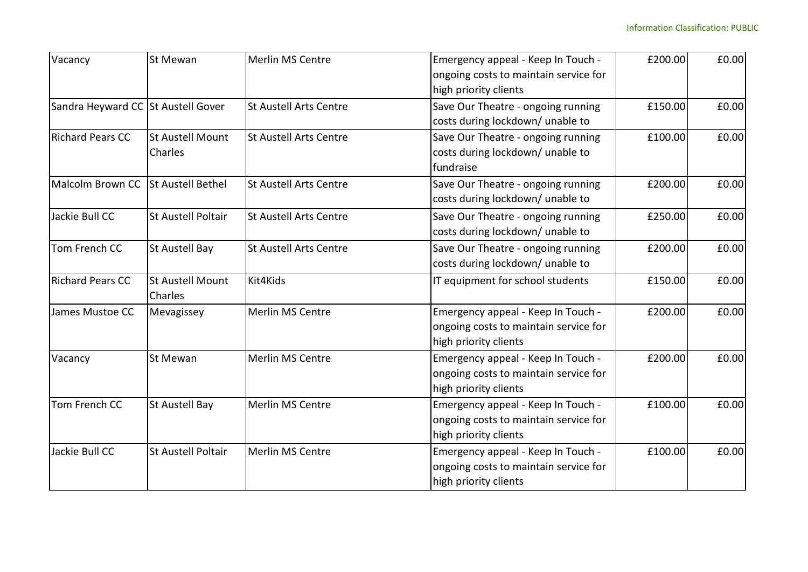| Vacancy                            | St Mewan                  | <b>Merlin MS Centre</b>       | Emergency appeal - Keep In Touch -    | £200.00 | £0.00 |
|------------------------------------|---------------------------|-------------------------------|---------------------------------------|---------|-------|
|                                    |                           |                               | ongoing costs to maintain service for |         |       |
|                                    |                           |                               | high priority clients                 |         |       |
| Sandra Heyward CC St Austell Gover |                           | <b>St Austell Arts Centre</b> | Save Our Theatre - ongoing running    | £150.00 | £0.00 |
|                                    |                           |                               | costs during lockdown/ unable to      |         |       |
| <b>Richard Pears CC</b>            | <b>St Austell Mount</b>   | <b>St Austell Arts Centre</b> | Save Our Theatre - ongoing running    | £100.00 | £0.00 |
|                                    | Charles                   |                               | costs during lockdown/ unable to      |         |       |
|                                    |                           |                               | fundraise                             |         |       |
| Malcolm Brown CC                   | <b>St Austell Bethel</b>  | <b>St Austell Arts Centre</b> | Save Our Theatre - ongoing running    | £200.00 | £0.00 |
|                                    |                           |                               | costs during lockdown/ unable to      |         |       |
| Jackie Bull CC                     | <b>St Austell Poltair</b> | <b>St Austell Arts Centre</b> | Save Our Theatre - ongoing running    | £250.00 | £0.00 |
|                                    |                           |                               | costs during lockdown/ unable to      |         |       |
| Tom French CC                      | <b>St Austell Bay</b>     | <b>St Austell Arts Centre</b> | Save Our Theatre - ongoing running    | £200.00 | £0.00 |
|                                    |                           |                               | costs during lockdown/ unable to      |         |       |
| <b>Richard Pears CC</b>            | <b>St Austell Mount</b>   | Kit4Kids                      | IT equipment for school students      | £150.00 | £0.00 |
|                                    | Charles                   |                               |                                       |         |       |
| James Mustoe CC                    | Mevagissey                | <b>Merlin MS Centre</b>       | Emergency appeal - Keep In Touch -    | £200.00 | £0.00 |
|                                    |                           |                               | ongoing costs to maintain service for |         |       |
|                                    |                           |                               | high priority clients                 |         |       |
| Vacancy                            | St Mewan                  | <b>Merlin MS Centre</b>       | Emergency appeal - Keep In Touch -    | £200.00 | £0.00 |
|                                    |                           |                               | ongoing costs to maintain service for |         |       |
|                                    |                           |                               | high priority clients                 |         |       |
| Tom French CC                      | <b>St Austell Bay</b>     | <b>Merlin MS Centre</b>       | Emergency appeal - Keep In Touch -    | £100.00 | £0.00 |
|                                    |                           |                               | ongoing costs to maintain service for |         |       |
|                                    |                           |                               | high priority clients                 |         |       |
| Jackie Bull CC                     | <b>St Austell Poltair</b> | Merlin MS Centre              | Emergency appeal - Keep In Touch -    | £100.00 | £0.00 |
|                                    |                           |                               | ongoing costs to maintain service for |         |       |
|                                    |                           |                               | high priority clients                 |         |       |